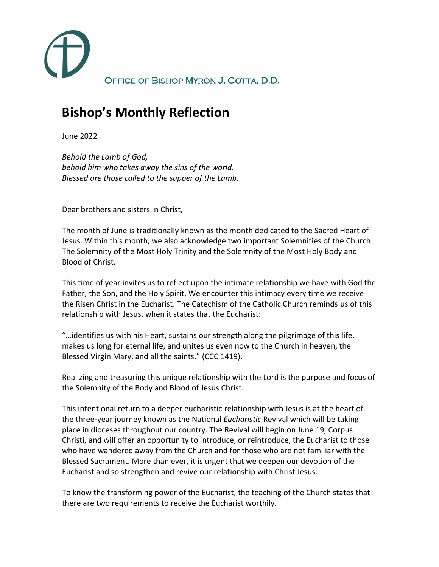OFFICE OF BISHOP MYRON J. COTTA, D.D.

## **Bishop's Monthly Reflection**

June 2022

*Behold the Lamb of God, behold him who takes away the sins of the world. Blessed are those called to the supper of the Lamb.*

Dear brothers and sisters in Christ,

The month of June is traditionally known as the month dedicated to the Sacred Heart of Jesus. Within this month, we also acknowledge two important Solemnities of the Church: The Solemnity of the Most Holy Trinity and the Solemnity of the Most Holy Body and Blood of Christ.

This time of year invites us to reflect upon the intimate relationship we have with God the Father, the Son, and the Holy Spirit. We encounter this intimacy every time we receive the Risen Christ in the Eucharist. The Catechism of the Catholic Church reminds us of this relationship with Jesus, when it states that the Eucharist:

"…identifies us with his Heart, sustains our strength along the pilgrimage of this life, makes us long for eternal life, and unites us even now to the Church in heaven, the Blessed Virgin Mary, and all the saints." (CCC 1419).

Realizing and treasuring this unique relationship with the Lord is the purpose and focus of the Solemnity of the Body and Blood of Jesus Christ.

This intentional return to a deeper eucharistic relationship with Jesus is at the heart of the three-year journey known as the National *Eucharistic* Revival which will be taking place in dioceses throughout our country. The Revival will begin on June 19, Corpus Christi, and will offer an opportunity to introduce, or reintroduce, the Eucharist to those who have wandered away from the Church and for those who are not familiar with the Blessed Sacrament. More than ever, it is urgent that we deepen our devotion of the Eucharist and so strengthen and revive our relationship with Christ Jesus.

To know the transforming power of the Eucharist, the teaching of the Church states that there are two requirements to receive the Eucharist worthily.